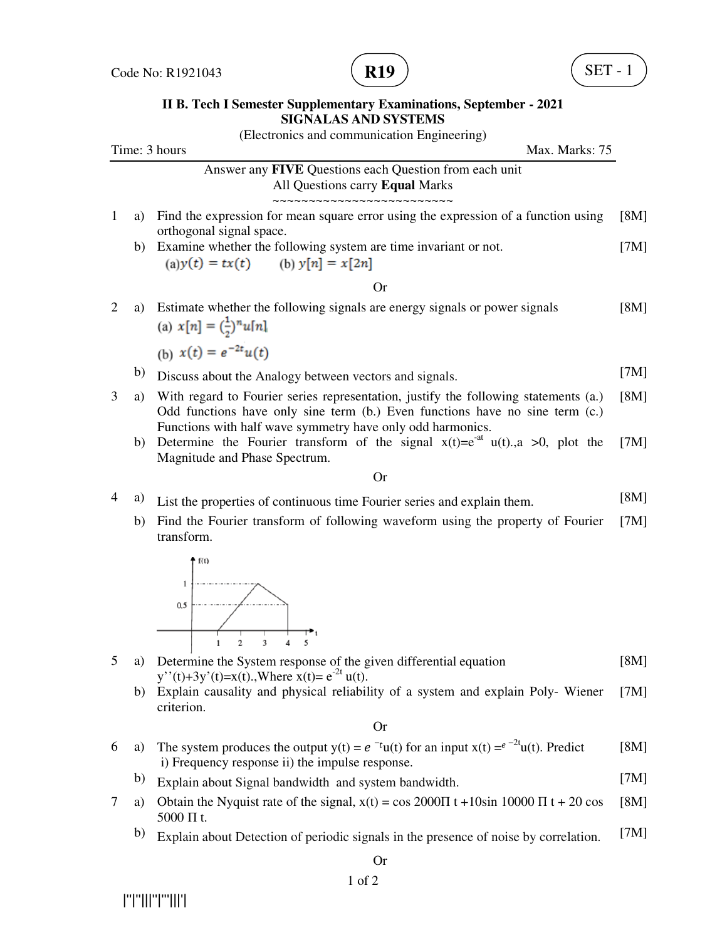

## **II B. Tech I Semester Supplementary Examinations, September - 2021 SIGNALAS AND SYSTEMS**

|                                 |    | (Electronics and communication Engineering)                                                                                                                                                                                       |               |  |  |
|---------------------------------|----|-----------------------------------------------------------------------------------------------------------------------------------------------------------------------------------------------------------------------------------|---------------|--|--|
| Time: 3 hours<br>Max. Marks: 75 |    |                                                                                                                                                                                                                                   |               |  |  |
|                                 |    | Answer any FIVE Questions each Question from each unit<br>All Questions carry Equal Marks<br>------------------                                                                                                                   |               |  |  |
| $\mathbf{1}$                    | a) | Find the expression for mean square error using the expression of a function using<br>orthogonal signal space.                                                                                                                    | [8M]          |  |  |
|                                 | b) | Examine whether the following system are time invariant or not.<br>(a) $y(t) = tx(t)$ (b) $y[n] = x[2n]$                                                                                                                          | [7M]          |  |  |
|                                 |    | Or                                                                                                                                                                                                                                |               |  |  |
| $\overline{2}$                  | a) | Estimate whether the following signals are energy signals or power signals<br>(a) $x[n] = (\frac{1}{2})^n u[n]$                                                                                                                   | [8M]          |  |  |
|                                 |    | (b) $x(t) = e^{-2t}u(t)$                                                                                                                                                                                                          |               |  |  |
|                                 | b) | Discuss about the Analogy between vectors and signals.                                                                                                                                                                            | [7M]          |  |  |
| 3                               | a) | With regard to Fourier series representation, justify the following statements (a.)<br>Odd functions have only sine term (b.) Even functions have no sine term (c.)<br>Functions with half wave symmetry have only odd harmonics. | [8M]          |  |  |
|                                 | b) | Determine the Fourier transform of the signal $x(t)=e^{-at}u(t)$ , a >0, plot the<br>Magnitude and Phase Spectrum.                                                                                                                | [7M]          |  |  |
|                                 |    | <b>Or</b>                                                                                                                                                                                                                         |               |  |  |
| 4                               | a) | List the properties of continuous time Fourier series and explain them.                                                                                                                                                           | [8M]          |  |  |
|                                 | b) | Find the Fourier transform of following waveform using the property of Fourier<br>transform.                                                                                                                                      | [7M]          |  |  |
|                                 |    | 0.5<br>$\overline{2}$<br>3<br>5<br>$\mathbf{1}$<br>4                                                                                                                                                                              |               |  |  |
| 5                               | a) | Determine the System response of the given differential equation                                                                                                                                                                  | [8M]          |  |  |
|                                 | b) | y''(t)+3y'(t)=x(t).,Where x(t)= $e^{-2t}$ u(t).<br>Explain causality and physical reliability of a system and explain Poly- Wiener<br>criterion.                                                                                  | [7M]          |  |  |
|                                 |    | <b>Or</b>                                                                                                                                                                                                                         |               |  |  |
|                                 |    | The contenuous decay the content $\phi(t) = \sigma(t)$ from the set $\phi(t) = \sigma^{-2}t/\sqrt{N}$ . Due distri                                                                                                                | <b>FOR AT</b> |  |  |

- 6 a) The system produces the output  $y(t) = e^{-t}u(t)$  for an input  $x(t) = e^{-2t}u(t)$ . Predict i) Frequency response ii) the impulse response. [8M]
	- b) Explain about Signal bandwidth and system bandwidth. [7M]
- 7 a) Obtain the Nyquist rate of the signal,  $x(t) = \cos 2000 \Pi t + 10 \sin 10000 \Pi t + 20 \cos 10000$ 5000 Π t. [8M]
	- b) Explain about Detection of periodic signals in the presence of noise by correlation. [7M]

|''|''|||''|'''|||'|